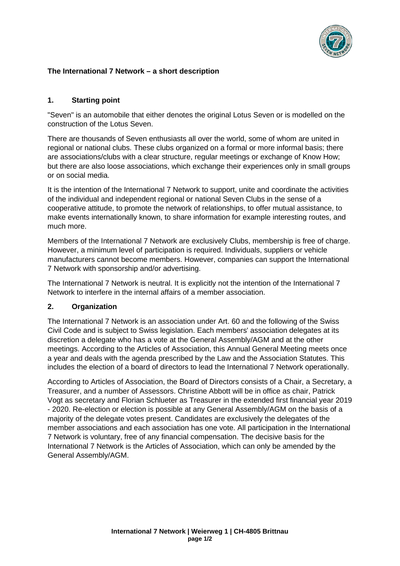

# **The International 7 Network – a short description**

### **1. Starting point**

"Seven" is an automobile that either denotes the original Lotus Seven or is modelled on the construction of the Lotus Seven.

There are thousands of Seven enthusiasts all over the world, some of whom are united in regional or national clubs. These clubs organized on a formal or more informal basis; there are associations/clubs with a clear structure, regular meetings or exchange of Know How; but there are also loose associations, which exchange their experiences only in small groups or on social media.

It is the intention of the International 7 Network to support, unite and coordinate the activities of the individual and independent regional or national Seven Clubs in the sense of a cooperative attitude, to promote the network of relationships, to offer mutual assistance, to make events internationally known, to share information for example interesting routes, and much more.

Members of the International 7 Network are exclusively Clubs, membership is free of charge. However, a minimum level of participation is required. Individuals, suppliers or vehicle manufacturers cannot become members. However, companies can support the International 7 Network with sponsorship and/or advertising.

The International 7 Network is neutral. It is explicitly not the intention of the International 7 Network to interfere in the internal affairs of a member association.

#### **2. Organization**

The International 7 Network is an association under Art. 60 and the following of the Swiss Civil Code and is subject to Swiss legislation. Each members' association delegates at its discretion a delegate who has a vote at the General Assembly/AGM and at the other meetings. According to the Articles of Association, this Annual General Meeting meets once a year and deals with the agenda prescribed by the Law and the Association Statutes. This includes the election of a board of directors to lead the International 7 Network operationally.

According to Articles of Association, the Board of Directors consists of a Chair, a Secretary, a Treasurer, and a number of Assessors. Christine Abbott will be in office as chair, Patrick Vogt as secretary and Florian Schlueter as Treasurer in the extended first financial year 2019 - 2020. Re-election or election is possible at any General Assembly/AGM on the basis of a majority of the delegate votes present. Candidates are exclusively the delegates of the member associations and each association has one vote. All participation in the International 7 Network is voluntary, free of any financial compensation. The decisive basis for the International 7 Network is the Articles of Association, which can only be amended by the General Assembly/AGM.